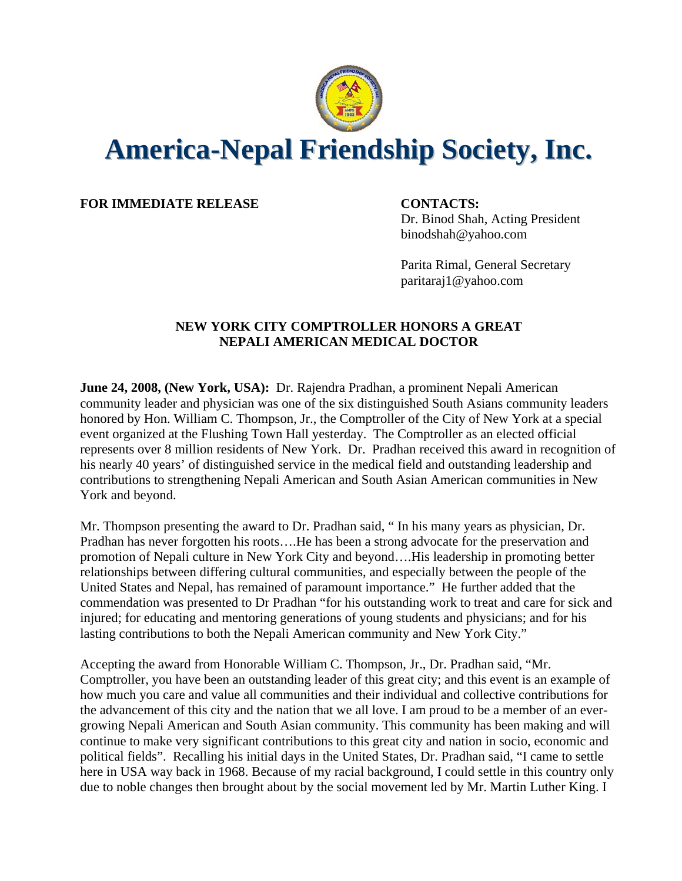

## **America-Nepal Friendship Society, Inc.**

**FOR IMMEDIATE RELEASE CONTACTS:**

Dr. Binod Shah, Acting President binodshah@yahoo.com

Parita Rimal, General Secretary paritaraj1@yahoo.com

## **NEW YORK CITY COMPTROLLER HONORS A GREAT NEPALI AMERICAN MEDICAL DOCTOR**

**June 24, 2008, (New York, USA):** Dr. Rajendra Pradhan, a prominent Nepali American community leader and physician was one of the six distinguished South Asians community leaders honored by Hon. William C. Thompson, Jr., the Comptroller of the City of New York at a special event organized at the Flushing Town Hall yesterday. The Comptroller as an elected official represents over 8 million residents of New York. Dr. Pradhan received this award in recognition of his nearly 40 years' of distinguished service in the medical field and outstanding leadership and contributions to strengthening Nepali American and South Asian American communities in New York and beyond.

Mr. Thompson presenting the award to Dr. Pradhan said, " In his many years as physician, Dr. Pradhan has never forgotten his roots….He has been a strong advocate for the preservation and promotion of Nepali culture in New York City and beyond….His leadership in promoting better relationships between differing cultural communities, and especially between the people of the United States and Nepal, has remained of paramount importance." He further added that the commendation was presented to Dr Pradhan "for his outstanding work to treat and care for sick and injured; for educating and mentoring generations of young students and physicians; and for his lasting contributions to both the Nepali American community and New York City."

Accepting the award from Honorable William C. Thompson, Jr., Dr. Pradhan said, "Mr. Comptroller, you have been an outstanding leader of this great city; and this event is an example of how much you care and value all communities and their individual and collective contributions for the advancement of this city and the nation that we all love. I am proud to be a member of an evergrowing Nepali American and South Asian community. This community has been making and will continue to make very significant contributions to this great city and nation in socio, economic and political fields". Recalling his initial days in the United States, Dr. Pradhan said, "I came to settle here in USA way back in 1968. Because of my racial background, I could settle in this country only due to noble changes then brought about by the social movement led by Mr. Martin Luther King. I